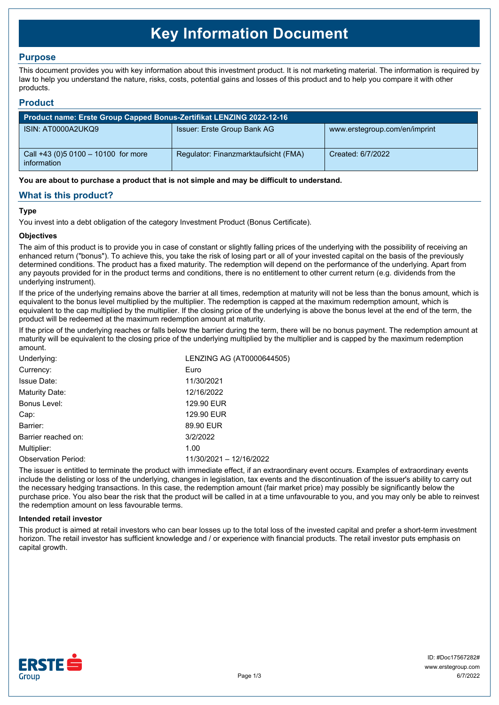# **Key Information Document**

## **Purpose**

This document provides you with key information about this investment product. It is not marketing material. The information is required by law to help you understand the nature, risks, costs, potential gains and losses of this product and to help you compare it with other products.

## **Product**

| Product name: Erste Group Capped Bonus-Zertifikat LENZING 2022-12-16 |                                      |                               |  |  |
|----------------------------------------------------------------------|--------------------------------------|-------------------------------|--|--|
| ISIN: AT0000A2UKQ9                                                   | Issuer: Erste Group Bank AG          | www.erstegroup.com/en/imprint |  |  |
| Call +43 (0) 5 0100 - 10100 for more<br>information                  | Regulator: Finanzmarktaufsicht (FMA) | Created: 6/7/2022             |  |  |

**You are about to purchase a product that is not simple and may be difficult to understand.**

## **What is this product?**

## **Type**

You invest into a debt obligation of the category Investment Product (Bonus Certificate).

#### **Objectives**

The aim of this product is to provide you in case of constant or slightly falling prices of the underlying with the possibility of receiving an enhanced return ("bonus"). To achieve this, you take the risk of losing part or all of your invested capital on the basis of the previously determined conditions. The product has a fixed maturity. The redemption will depend on the performance of the underlying. Apart from any payouts provided for in the product terms and conditions, there is no entitlement to other current return (e.g. dividends from the underlying instrument).

If the price of the underlying remains above the barrier at all times, redemption at maturity will not be less than the bonus amount, which is equivalent to the bonus level multiplied by the multiplier. The redemption is capped at the maximum redemption amount, which is equivalent to the cap multiplied by the multiplier. If the closing price of the underlying is above the bonus level at the end of the term, the product will be redeemed at the maximum redemption amount at maturity.

If the price of the underlying reaches or falls below the barrier during the term, there will be no bonus payment. The redemption amount at maturity will be equivalent to the closing price of the underlying multiplied by the multiplier and is capped by the maximum redemption amount.

| Underlying:                | LENZING AG (AT0000644505) |  |
|----------------------------|---------------------------|--|
| Currency:                  | Euro                      |  |
| <b>Issue Date:</b>         | 11/30/2021                |  |
| Maturity Date:             | 12/16/2022                |  |
| Bonus Level:               | 129.90 EUR                |  |
| Cap:                       | 129.90 EUR                |  |
| Barrier:                   | 89.90 EUR                 |  |
| Barrier reached on:        | 3/2/2022                  |  |
| Multiplier:                | 1.00                      |  |
| <b>Observation Period:</b> | 11/30/2021 - 12/16/2022   |  |

The issuer is entitled to terminate the product with immediate effect, if an extraordinary event occurs. Examples of extraordinary events include the delisting or loss of the underlying, changes in legislation, tax events and the discontinuation of the issuer's ability to carry out the necessary hedging transactions. In this case, the redemption amount (fair market price) may possibly be significantly below the purchase price. You also bear the risk that the product will be called in at a time unfavourable to you, and you may only be able to reinvest the redemption amount on less favourable terms.

#### **Intended retail investor**

This product is aimed at retail investors who can bear losses up to the total loss of the invested capital and prefer a short-term investment horizon. The retail investor has sufficient knowledge and / or experience with financial products. The retail investor puts emphasis on capital growth.

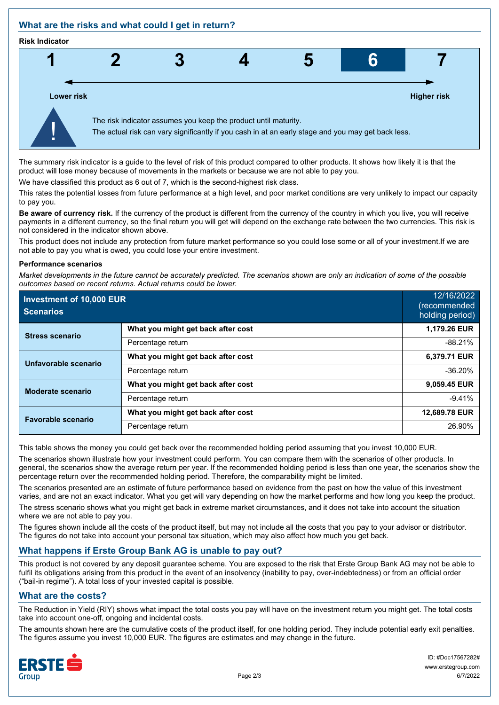## **What are the risks and what could I get in return?**

#### **Risk Indicator**



The summary risk indicator is a guide to the level of risk of this product compared to other products. It shows how likely it is that the product will lose money because of movements in the markets or because we are not able to pay you.

We have classified this product as 6 out of 7, which is the second-highest risk class.

This rates the potential losses from future performance at a high level, and poor market conditions are very unlikely to impact our capacity to pay you.

**Be aware of currency risk.** If the currency of the product is different from the currency of the country in which you live, you will receive payments in a different currency, so the final return you will get will depend on the exchange rate between the two currencies. This risk is not considered in the indicator shown above.

This product does not include any protection from future market performance so you could lose some or all of your investment.If we are not able to pay you what is owed, you could lose your entire investment.

#### **Performance scenarios**

*Market developments in the future cannot be accurately predicted. The scenarios shown are only an indication of some of the possible outcomes based on recent returns. Actual returns could be lower.*

| Investment of 10,000 EUR<br><b>Scenarios</b> |                                    | 12/16/2022<br>(recommended<br>holding period) |
|----------------------------------------------|------------------------------------|-----------------------------------------------|
| <b>Stress scenario</b>                       | What you might get back after cost | 1,179.26 EUR                                  |
|                                              | Percentage return                  | $-88.21%$                                     |
| Unfavorable scenario                         | What you might get back after cost | 6,379.71 EUR                                  |
|                                              | Percentage return                  | $-36.20%$                                     |
| <b>Moderate scenario</b>                     | What you might get back after cost | 9,059.45 EUR                                  |
|                                              | Percentage return                  | $-9.41%$                                      |
| <b>Favorable scenario</b>                    | What you might get back after cost | 12,689.78 EUR                                 |
|                                              | Percentage return                  | 26.90%                                        |

This table shows the money you could get back over the recommended holding period assuming that you invest 10,000 EUR.

The scenarios shown illustrate how your investment could perform. You can compare them with the scenarios of other products. In general, the scenarios show the average return per year. If the recommended holding period is less than one year, the scenarios show the percentage return over the recommended holding period. Therefore, the comparability might be limited.

The scenarios presented are an estimate of future performance based on evidence from the past on how the value of this investment varies, and are not an exact indicator. What you get will vary depending on how the market performs and how long you keep the product. The stress scenario shows what you might get back in extreme market circumstances, and it does not take into account the situation where we are not able to pay you.

The figures shown include all the costs of the product itself, but may not include all the costs that you pay to your advisor or distributor. The figures do not take into account your personal tax situation, which may also affect how much you get back.

## **What happens if Erste Group Bank AG is unable to pay out?**

This product is not covered by any deposit guarantee scheme. You are exposed to the risk that Erste Group Bank AG may not be able to fulfil its obligations arising from this product in the event of an insolvency (inability to pay, over-indebtedness) or from an official order ("bail-in regime"). A total loss of your invested capital is possible.

## **What are the costs?**

The Reduction in Yield (RIY) shows what impact the total costs you pay will have on the investment return you might get. The total costs take into account one-off, ongoing and incidental costs.

The amounts shown here are the cumulative costs of the product itself, for one holding period. They include potential early exit penalties. The figures assume you invest 10,000 EUR. The figures are estimates and may change in the future.